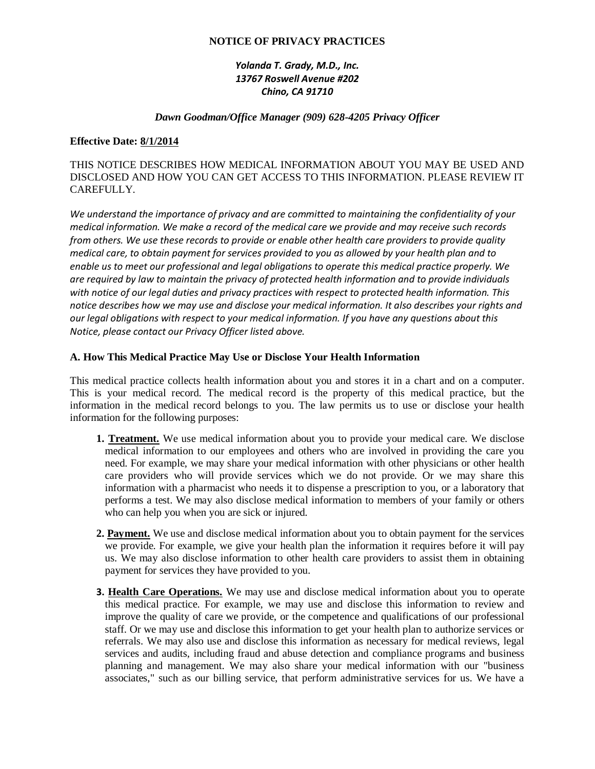## **NOTICE OF PRIVACY PRACTICES**

# *Yolanda T. Grady, M.D., Inc. 13767 Roswell Avenue #202 Chino, CA 91710*

### *Dawn Goodman/Office Manager (909) 628-4205 Privacy Officer*

### **Effective Date: 8/1/2014**

## THIS NOTICE DESCRIBES HOW MEDICAL INFORMATION ABOUT YOU MAY BE USED AND DISCLOSED AND HOW YOU CAN GET ACCESS TO THIS INFORMATION. PLEASE REVIEW IT CAREFULLY.

*We understand the importance of privacy and are committed to maintaining the confidentiality of your medical information. We make a record of the medical care we provide and may receive such records from others. We use these records to provide or enable other health care providers to provide quality medical care, to obtain payment for services provided to you as allowed by your health plan and to enable us to meet our professional and legal obligations to operate this medical practice properly. We are required by law to maintain the privacy of protected health information and to provide individuals with notice of our legal duties and privacy practices with respect to protected health information. This notice describes how we may use and disclose your medical information. It also describes your rights and our legal obligations with respect to your medical information. If you have any questions about this Notice, please contact our Privacy Officer listed above.*

#### **A. How This Medical Practice May Use or Disclose Your Health Information**

This medical practice collects health information about you and stores it in a chart and on a computer. This is your medical record. The medical record is the property of this medical practice, but the information in the medical record belongs to you. The law permits us to use or disclose your health information for the following purposes:

- **1. Treatment.** We use medical information about you to provide your medical care. We disclose medical information to our employees and others who are involved in providing the care you need. For example, we may share your medical information with other physicians or other health care providers who will provide services which we do not provide. Or we may share this information with a pharmacist who needs it to dispense a prescription to you, or a laboratory that performs a test. We may also disclose medical information to members of your family or others who can help you when you are sick or injured.
- **2. Payment.** We use and disclose medical information about you to obtain payment for the services we provide. For example, we give your health plan the information it requires before it will pay us. We may also disclose information to other health care providers to assist them in obtaining payment for services they have provided to you.
- **3. Health Care Operations.** We may use and disclose medical information about you to operate this medical practice. For example, we may use and disclose this information to review and improve the quality of care we provide, or the competence and qualifications of our professional staff. Or we may use and disclose this information to get your health plan to authorize services or referrals. We may also use and disclose this information as necessary for medical reviews, legal services and audits, including fraud and abuse detection and compliance programs and business planning and management. We may also share your medical information with our "business associates," such as our billing service, that perform administrative services for us. We have a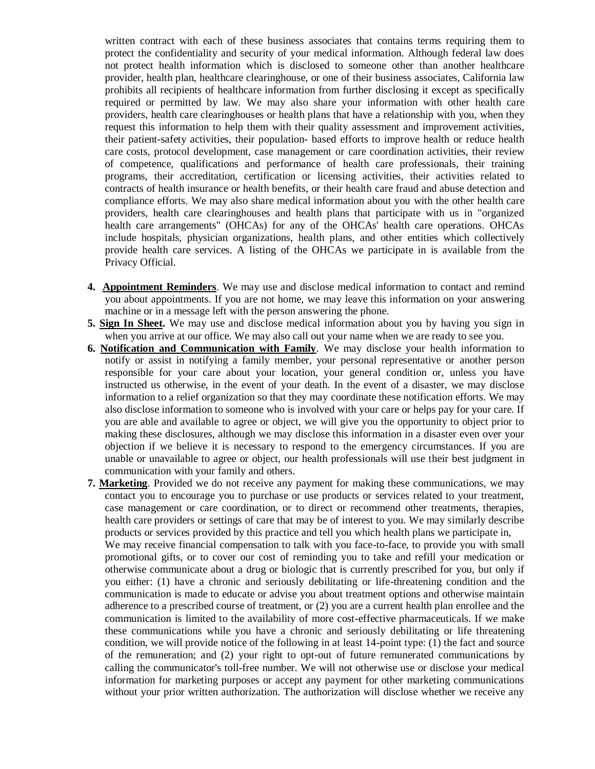written contract with each of these business associates that contains terms requiring them to protect the confidentiality and security of your medical information. Although federal law does not protect health information which is disclosed to someone other than another healthcare provider, health plan, healthcare clearinghouse, or one of their business associates, California law prohibits all recipients of healthcare information from further disclosing it except as specifically required or permitted by law. We may also share your information with other health care providers, health care clearinghouses or health plans that have a relationship with you, when they request this information to help them with their quality assessment and improvement activities, their patient-safety activities, their population- based efforts to improve health or reduce health care costs, protocol development, case management or care coordination activities, their review of competence, qualifications and performance of health care professionals, their training programs, their accreditation, certification or licensing activities, their activities related to contracts of health insurance or health benefits, or their health care fraud and abuse detection and compliance efforts. We may also share medical information about you with the other health care providers, health care clearinghouses and health plans that participate with us in "organized health care arrangements" (OHCAs) for any of the OHCAs' health care operations. OHCAs include hospitals, physician organizations, health plans, and other entities which collectively provide health care services. A listing of the OHCAs we participate in is available from the Privacy Official.

- **4. Appointment Reminders**. We may use and disclose medical information to contact and remind you about appointments. If you are not home, we may leave this information on your answering machine or in a message left with the person answering the phone.
- **5. Sign In Sheet.** We may use and disclose medical information about you by having you sign in when you arrive at our office. We may also call out your name when we are ready to see you.
- **6. Notification and Communication with Family**. We may disclose your health information to notify or assist in notifying a family member, your personal representative or another person responsible for your care about your location, your general condition or, unless you have instructed us otherwise, in the event of your death. In the event of a disaster, we may disclose information to a relief organization so that they may coordinate these notification efforts. We may also disclose information to someone who is involved with your care or helps pay for your care. If you are able and available to agree or object, we will give you the opportunity to object prior to making these disclosures, although we may disclose this information in a disaster even over your objection if we believe it is necessary to respond to the emergency circumstances. If you are unable or unavailable to agree or object, our health professionals will use their best judgment in communication with your family and others.
- **7. Marketing**. Provided we do not receive any payment for making these communications, we may contact you to encourage you to purchase or use products or services related to your treatment, case management or care coordination, or to direct or recommend other treatments, therapies, health care providers or settings of care that may be of interest to you. We may similarly describe products or services provided by this practice and tell you which health plans we participate in, We may receive financial compensation to talk with you face-to-face, to provide you with small promotional gifts, or to cover our cost of reminding you to take and refill your medication or otherwise communicate about a drug or biologic that is currently prescribed for you, but only if you either: (1) have a chronic and seriously debilitating or life-threatening condition and the communication is made to educate or advise you about treatment options and otherwise maintain adherence to a prescribed course of treatment, or (2) you are a current health plan enrollee and the communication is limited to the availability of more cost-effective pharmaceuticals. If we make these communications while you have a chronic and seriously debilitating or life threatening condition, we will provide notice of the following in at least 14-point type: (1) the fact and source of the remuneration; and (2) your right to opt-out of future remunerated communications by calling the communicator's toll-free number. We will not otherwise use or disclose your medical information for marketing purposes or accept any payment for other marketing communications without your prior written authorization. The authorization will disclose whether we receive any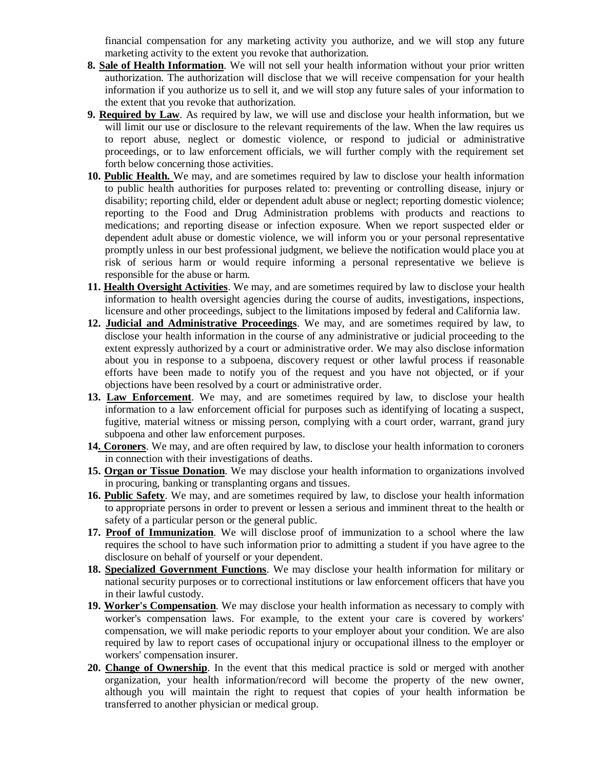financial compensation for any marketing activity you authorize, and we will stop any future marketing activity to the extent you revoke that authorization.

- **8. Sale of Health Information**. We will not sell your health information without your prior written authorization. The authorization will disclose that we will receive compensation for your health information if you authorize us to sell it, and we will stop any future sales of your information to the extent that you revoke that authorization.
- **9. Required by Law**. As required by law, we will use and disclose your health information, but we will limit our use or disclosure to the relevant requirements of the law. When the law requires us to report abuse, neglect or domestic violence, or respond to judicial or administrative proceedings, or to law enforcement officials, we will further comply with the requirement set forth below concerning those activities.
- **10. Public Health.** We may, and are sometimes required by law to disclose your health information to public health authorities for purposes related to: preventing or controlling disease, injury or disability; reporting child, elder or dependent adult abuse or neglect; reporting domestic violence; reporting to the Food and Drug Administration problems with products and reactions to medications; and reporting disease or infection exposure. When we report suspected elder or dependent adult abuse or domestic violence, we will inform you or your personal representative promptly unless in our best professional judgment, we believe the notification would place you at risk of serious harm or would require informing a personal representative we believe is responsible for the abuse or harm.
- **11. Health Oversight Activities**. We may, and are sometimes required by law to disclose your health information to health oversight agencies during the course of audits, investigations, inspections, licensure and other proceedings, subject to the limitations imposed by federal and California law.
- **12. Judicial and Administrative Proceedings**. We may, and are sometimes required by law, to disclose your health information in the course of any administrative or judicial proceeding to the extent expressly authorized by a court or administrative order. We may also disclose information about you in response to a subpoena, discovery request or other lawful process if reasonable efforts have been made to notify you of the request and you have not objected, or if your objections have been resolved by a court or administrative order.
- **13. Law Enforcement**. We may, and are sometimes required by law, to disclose your health information to a law enforcement official for purposes such as identifying of locating a suspect, fugitive, material witness or missing person, complying with a court order, warrant, grand jury subpoena and other law enforcement purposes.
- **14. Coroners**. We may, and are often required by law, to disclose your health information to coroners in connection with their investigations of deaths.
- **15. Organ or Tissue Donation**. We may disclose your health information to organizations involved in procuring, banking or transplanting organs and tissues.
- **16. Public Safety**. We may, and are sometimes required by law, to disclose your health information to appropriate persons in order to prevent or lessen a serious and imminent threat to the health or safety of a particular person or the general public.
- **17. Proof of Immunization**. We will disclose proof of immunization to a school where the law requires the school to have such information prior to admitting a student if you have agree to the disclosure on behalf of yourself or your dependent.
- **18. Specialized Government Functions**. We may disclose your health information for military or national security purposes or to correctional institutions or law enforcement officers that have you in their lawful custody.
- **19. Worker's Compensation**. We may disclose your health information as necessary to comply with worker's compensation laws. For example, to the extent your care is covered by workers' compensation, we will make periodic reports to your employer about your condition. We are also required by law to report cases of occupational injury or occupational illness to the employer or workers' compensation insurer.
- **20. Change of Ownership**. In the event that this medical practice is sold or merged with another organization, your health information/record will become the property of the new owner, although you will maintain the right to request that copies of your health information be transferred to another physician or medical group.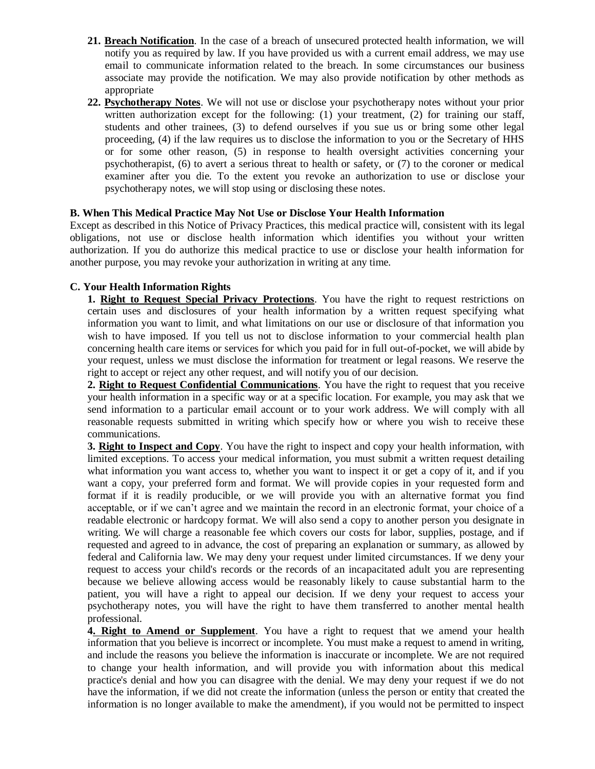- **21. Breach Notification**. In the case of a breach of unsecured protected health information, we will notify you as required by law. If you have provided us with a current email address, we may use email to communicate information related to the breach. In some circumstances our business associate may provide the notification. We may also provide notification by other methods as appropriate
- **22. Psychotherapy Notes**. We will not use or disclose your psychotherapy notes without your prior written authorization except for the following: (1) your treatment, (2) for training our staff, students and other trainees, (3) to defend ourselves if you sue us or bring some other legal proceeding, (4) if the law requires us to disclose the information to you or the Secretary of HHS or for some other reason, (5) in response to health oversight activities concerning your psychotherapist, (6) to avert a serious threat to health or safety, or (7) to the coroner or medical examiner after you die. To the extent you revoke an authorization to use or disclose your psychotherapy notes, we will stop using or disclosing these notes.

# **B. When This Medical Practice May Not Use or Disclose Your Health Information**

Except as described in this Notice of Privacy Practices, this medical practice will, consistent with its legal obligations, not use or disclose health information which identifies you without your written authorization. If you do authorize this medical practice to use or disclose your health information for another purpose, you may revoke your authorization in writing at any time.

# **C. Your Health Information Rights**

**1. Right to Request Special Privacy Protections**. You have the right to request restrictions on certain uses and disclosures of your health information by a written request specifying what information you want to limit, and what limitations on our use or disclosure of that information you wish to have imposed. If you tell us not to disclose information to your commercial health plan concerning health care items or services for which you paid for in full out-of-pocket, we will abide by your request, unless we must disclose the information for treatment or legal reasons. We reserve the right to accept or reject any other request, and will notify you of our decision.

**2. Right to Request Confidential Communications**. You have the right to request that you receive your health information in a specific way or at a specific location. For example, you may ask that we send information to a particular email account or to your work address. We will comply with all reasonable requests submitted in writing which specify how or where you wish to receive these communications.

**3. Right to Inspect and Copy**. You have the right to inspect and copy your health information, with limited exceptions. To access your medical information, you must submit a written request detailing what information you want access to, whether you want to inspect it or get a copy of it, and if you want a copy, your preferred form and format. We will provide copies in your requested form and format if it is readily producible, or we will provide you with an alternative format you find acceptable, or if we can't agree and we maintain the record in an electronic format, your choice of a readable electronic or hardcopy format. We will also send a copy to another person you designate in writing. We will charge a reasonable fee which covers our costs for labor, supplies, postage, and if requested and agreed to in advance, the cost of preparing an explanation or summary, as allowed by federal and California law. We may deny your request under limited circumstances. If we deny your request to access your child's records or the records of an incapacitated adult you are representing because we believe allowing access would be reasonably likely to cause substantial harm to the patient, you will have a right to appeal our decision. If we deny your request to access your psychotherapy notes, you will have the right to have them transferred to another mental health professional.

**4. Right to Amend or Supplement**. You have a right to request that we amend your health information that you believe is incorrect or incomplete. You must make a request to amend in writing, and include the reasons you believe the information is inaccurate or incomplete. We are not required to change your health information, and will provide you with information about this medical practice's denial and how you can disagree with the denial. We may deny your request if we do not have the information, if we did not create the information (unless the person or entity that created the information is no longer available to make the amendment), if you would not be permitted to inspect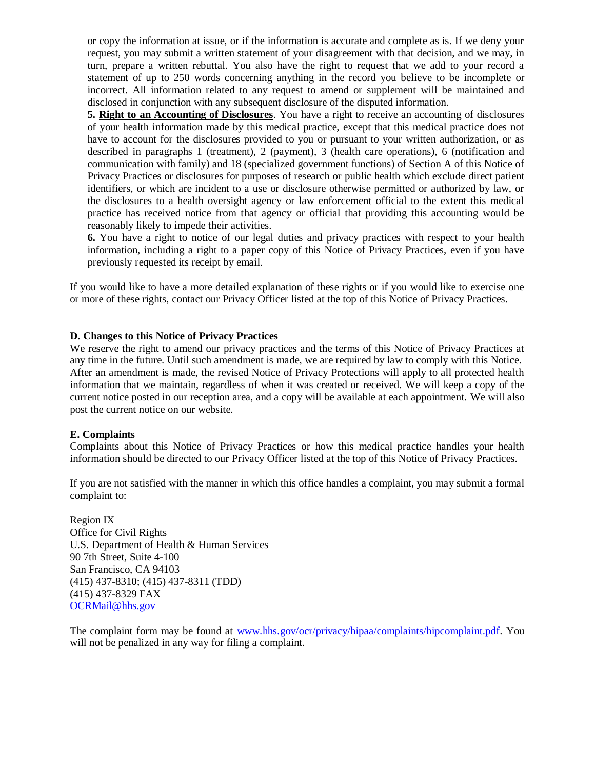or copy the information at issue, or if the information is accurate and complete as is. If we deny your request, you may submit a written statement of your disagreement with that decision, and we may, in turn, prepare a written rebuttal. You also have the right to request that we add to your record a statement of up to 250 words concerning anything in the record you believe to be incomplete or incorrect. All information related to any request to amend or supplement will be maintained and disclosed in conjunction with any subsequent disclosure of the disputed information.

**5. Right to an Accounting of Disclosures**. You have a right to receive an accounting of disclosures of your health information made by this medical practice, except that this medical practice does not have to account for the disclosures provided to you or pursuant to your written authorization, or as described in paragraphs 1 (treatment), 2 (payment), 3 (health care operations), 6 (notification and communication with family) and 18 (specialized government functions) of Section A of this Notice of Privacy Practices or disclosures for purposes of research or public health which exclude direct patient identifiers, or which are incident to a use or disclosure otherwise permitted or authorized by law, or the disclosures to a health oversight agency or law enforcement official to the extent this medical practice has received notice from that agency or official that providing this accounting would be reasonably likely to impede their activities.

**6.** You have a right to notice of our legal duties and privacy practices with respect to your health information, including a right to a paper copy of this Notice of Privacy Practices, even if you have previously requested its receipt by email.

If you would like to have a more detailed explanation of these rights or if you would like to exercise one or more of these rights, contact our Privacy Officer listed at the top of this Notice of Privacy Practices.

### **D. Changes to this Notice of Privacy Practices**

We reserve the right to amend our privacy practices and the terms of this Notice of Privacy Practices at any time in the future. Until such amendment is made, we are required by law to comply with this Notice. After an amendment is made, the revised Notice of Privacy Protections will apply to all protected health information that we maintain, regardless of when it was created or received. We will keep a copy of the current notice posted in our reception area, and a copy will be available at each appointment. We will also post the current notice on our website.

#### **E. Complaints**

Complaints about this Notice of Privacy Practices or how this medical practice handles your health information should be directed to our Privacy Officer listed at the top of this Notice of Privacy Practices.

If you are not satisfied with the manner in which this office handles a complaint, you may submit a formal complaint to:

Region IX Office for Civil Rights U.S. Department of Health & Human Services 90 7th Street, Suite 4-100 San Francisco, CA 94103 (415) 437-8310; (415) 437-8311 (TDD) (415) 437-8329 FAX [OCRMail@hhs.gov](mailto:OCRMail@hhs.gov)

The complaint form may be found at www.hhs.gov/ocr/privacy/hipaa/complaints/hipcomplaint.pdf. You will not be penalized in any way for filing a complaint.